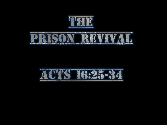



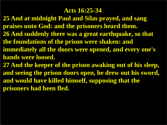#### **Acts 16:25-34**

**25 And at midnight Paul and Silas prayed, and sang praises unto God: and the prisoners heard them. 26 And suddenly there was a great earthquake, so that the foundations of the prison were shaken: and immediately all the doors were opened, and every one's bands were loosed. 27 And the keeper of the prison awaking out of his sleep, and seeing the prison doors open, he drew out his sword, and would have killed himself, supposing that the prisoners had been fled.**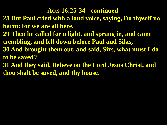#### **Acts 16:25-34 - continued**

- **28 But Paul cried with a loud voice, saying, Do thyself no harm: for we are all here.**
- **29 Then he called for a light, and sprang in, and came trembling, and fell down before Paul and Silas,**
- **30 And brought them out, and said, Sirs, what must I do to be saved?**
- **31 And they said, Believe on the Lord Jesus Christ, and thou shalt be saved, and thy house.**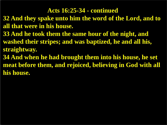#### **Acts 16:25-34 - continued**

- **32 And they spake unto him the word of the Lord, and to all that were in his house.**
- **33 And he took them the same hour of the night, and washed their stripes; and was baptized, he and all his, straightway.**
- **34 And when he had brought them into his house, he set meat before them, and rejoiced, believing in God with all his house.**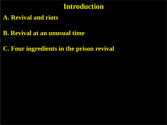# **Introduction**

- **A. Revival and riots**
- **B. Revival at an unusual time**
- **C. Four ingredients in the prison revival**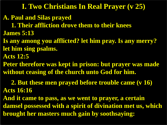## **I. Two Christians In Real Prayer (v 25)**

- **A. Paul and Silas prayed**
- **1. Their affliction drove them to their knees James 5:13**
- **Is any among you afflicted? let him pray. Is any merry? let him sing psalms.**
- **Acts 12:5**
- **Peter therefore was kept in prison: but prayer was made without ceasing of the church unto God for him.**
- **2. But these men prayed before trouble came (v 16) Acts 16:16**
- **And it came to pass, as we went to prayer, a certain damsel possessed with a spirit of divination met us, which brought her masters much gain by soothsaying:**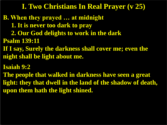## **I. Two Christians In Real Prayer (v 25)**

- **B. When they prayed … at midnight**
	- **1. It is never too dark to pray**
	- **2. Our God delights to work in the dark**
- **Psalm 139:11**
- **If I say, Surely the darkness shall cover me; even the night shall be light about me.**
- **Isaiah 9:2**
- **The people that walked in darkness have seen a great light: they that dwell in the land of the shadow of death, upon them hath the light shined.**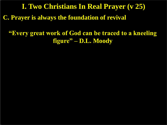**C. Prayer is always the foundation of revival I. Two Christians In Real Prayer (v 25)**

## **"Every great work of God can be traced to a kneeling figure" – D.L. Moody**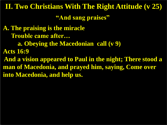**"And sang praises"**

**A. The praising is the miracle Trouble came after… a. Obeying the Macedonian call (v 9) Acts 16:9 And a vision appeared to Paul in the night; There stood a man of Macedonia, and prayed him, saying, Come over into Macedonia, and help us.**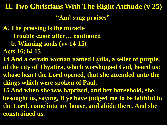**"And sang praises"**

**A. The praising is the miracle Trouble came after… continued b. Winning souls (vv 14-15) Acts 16:14-15 14 And a certain woman named Lydia, a seller of purple, of the city of Thyatira, which worshipped God, heard us: whose heart the Lord opened, that she attended unto the things which were spoken of Paul. 15 And when she was baptized, and her household, she besought us, saying, If ye have judged me to be faithful to the Lord, come into my house, and abide there. And she constrained us.**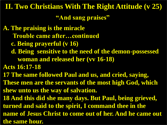**"And sang praises"**

**A. The praising is the miracle Trouble came after…continued c. Being prayerful (v 16) d. Being sensitive to the need of the demon-possessed woman and released her (vv 16-18) Acts 16:17-18 17 The same followed Paul and us, and cried, saying, These men are the servants of the most high God, which shew unto us the way of salvation. 18 And this did she many days. But Paul, being grieved, turned and said to the spirit, I command thee in the name of Jesus Christ to come out of her. And he came out the same hour.**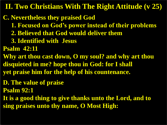**C. Nevertheless they praised God**

- **1. Focused on God's power instead of their problems**
- **2. Believed that God would deliver them**
- **3. Identified with Jesus**

**Psalm 42:11**

- **Why art thou cast down, O my soul? and why art thou disquieted in me? hope thou in God: for I shall yet praise him for the help of his countenance.**
- **D. The value of praise**
- **Psalm 92:1**
- **It is a good thing to give thanks unto the Lord, and to sing praises unto thy name, O Most High:**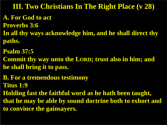# **III. Two Christians In The Right Place (v 28)**

### **A. For God to act**

- **Proverbs 3:6**
- **In all thy ways acknowledge him, and he shall direct thy paths.**
- **Psalm 37:5**
- **Commit thy way unto the LORD; trust also in him; and he shall bring it to pass.**
- **B. For a tremendous testimony Titus 1:9**
- **Holding fast the faithful word as he hath been taught, that he may be able by sound doctrine both to exhort and to convince the gainsayers.**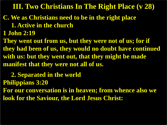**III. Two Christians In The Right Place (v 28)**

# **C. We as Christians need to be in the right place**

 **1. Active in the church**

**1 John 2:19**

**They went out from us, but they were not of us; for if they had been of us, they would no doubt have continued with us: but they went out, that they might be made manifest that they were not all of us.**

 **2. Separated in the world Philippians 3:20**

**For our conversation is in heaven; from whence also we look for the Saviour, the Lord Jesus Christ:**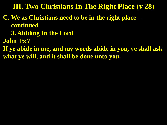**III. Two Christians In The Right Place (v 28)**

- **C. We as Christians need to be in the right place – continued**
	- **3. Abiding In the Lord**
- **John 15:7**
- **If ye abide in me, and my words abide in you, ye shall ask what ye will, and it shall be done unto you.**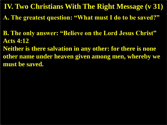**IV. Two Christians With The Right Message (v 31)**

**A. The greatest question: "What must I do to be saved?"**

**B. The only answer: "Believe on the Lord Jesus Christ" Acts 4:12**

**Neither is there salvation in any other: for there is none other name under heaven given among men, whereby we must be saved.**